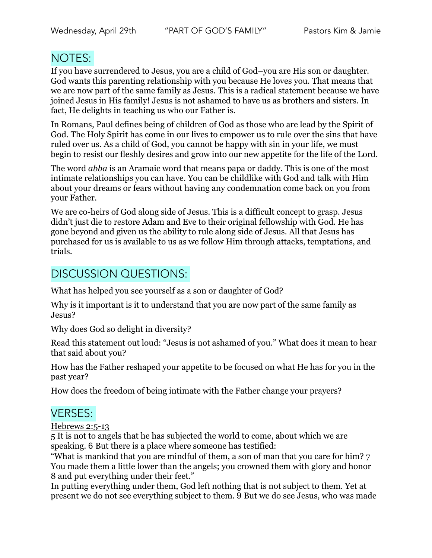## NOTES:

If you have surrendered to Jesus, you are a child of God–you are His son or daughter. God wants this parenting relationship with you because He loves you. That means that we are now part of the same family as Jesus. This is a radical statement because we have joined Jesus in His family! Jesus is not ashamed to have us as brothers and sisters. In fact, He delights in teaching us who our Father is.

In Romans, Paul defines being of children of God as those who are lead by the Spirit of God. The Holy Spirit has come in our lives to empower us to rule over the sins that have ruled over us. As a child of God, you cannot be happy with sin in your life, we must begin to resist our fleshly desires and grow into our new appetite for the life of the Lord.

The word *abba* is an Aramaic word that means papa or daddy. This is one of the most intimate relationships you can have. You can be childlike with God and talk with Him about your dreams or fears without having any condemnation come back on you from your Father.

We are co-heirs of God along side of Jesus. This is a difficult concept to grasp. Jesus didn't just die to restore Adam and Eve to their original fellowship with God. He has gone beyond and given us the ability to rule along side of Jesus. All that Jesus has purchased for us is available to us as we follow Him through attacks, temptations, and trials.

## DISCUSSION QUESTIONS:

What has helped you see yourself as a son or daughter of God?

Why is it important is it to understand that you are now part of the same family as Jesus?

Why does God so delight in diversity?

Read this statement out loud: "Jesus is not ashamed of you." What does it mean to hear that said about you?

How has the Father reshaped your appetite to be focused on what He has for you in the past year?

How does the freedom of being intimate with the Father change your prayers?

## VERSES:

Hebrews 2:5-13

5 It is not to angels that he has subjected the world to come, about which we are speaking. 6 But there is a place where someone has testified:

"What is mankind that you are mindful of them, a son of man that you care for him? 7 You made them a little lower than the angels; you crowned them with glory and honor 8 and put everything under their feet."

In putting everything under them, God left nothing that is not subject to them. Yet at present we do not see everything subject to them. 9 But we do see Jesus, who was made